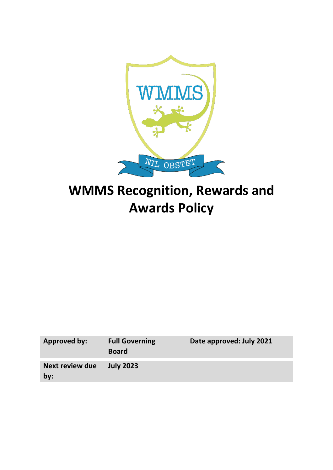

# **WMMS Recognition, Rewards and Awards Policy**

| <b>Approved by:</b>    | <b>Full Governing</b><br><b>Board</b> | Date approved: July 2021 |
|------------------------|---------------------------------------|--------------------------|
| Next review due<br>by: | <b>July 2023</b>                      |                          |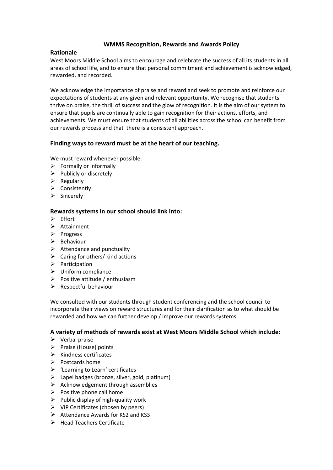## **WMMS Recognition, Rewards and Awards Policy**

## **Rationale**

West Moors Middle School aims to encourage and celebrate the success of all its students in all areas of school life, and to ensure that personal commitment and achievement is acknowledged, rewarded, and recorded.

We acknowledge the importance of praise and reward and seek to promote and reinforce our expectations of students at any given and relevant opportunity. We recognise that students thrive on praise, the thrill of success and the glow of recognition. It is the aim of our system to ensure that pupils are continually able to gain recognition for their actions, efforts, and achievements. We must ensure that students of all abilities across the school can benefit from our rewards process and that there is a consistent approach.

## **Finding ways to reward must be at the heart of our teaching.**

We must reward whenever possible:

- $\triangleright$  Formally or informally
- $\triangleright$  Publicly or discretely
- $\triangleright$  Regularly
- $\triangleright$  Consistently
- $\triangleright$  Sincerely

#### **Rewards systems in our school should link into:**

- $\triangleright$  Effort
- > Attainment
- $\triangleright$  Progress
- $\triangleright$  Behaviour
- $\triangleright$  Attendance and punctuality
- $\triangleright$  Caring for others/ kind actions
- $\triangleright$  Participation
- Uniform compliance
- $\triangleright$  Positive attitude / enthusiasm
- $\triangleright$  Respectful behaviour

We consulted with our students through student conferencing and the school council to incorporate their views on reward structures and for their clarification as to what should be rewarded and how we can further develop / improve our rewards systems.

## **A variety of methods of rewards exist at West Moors Middle School which include:**

- $\triangleright$  Verbal praise
- $\triangleright$  Praise (House) points
- $\triangleright$  Kindness certificates
- $\triangleright$  Postcards home
- 'Learning to Learn' certificates
- $\triangleright$  Lapel badges (bronze, silver, gold, platinum)
- $\triangleright$  Acknowledgement through assemblies
- $\triangleright$  Positive phone call home
- $\triangleright$  Public display of high-quality work
- $\triangleright$  VIP Certificates (chosen by peers)
- $\triangleright$  Attendance Awards for KS2 and KS3
- $\triangleright$  Head Teachers Certificate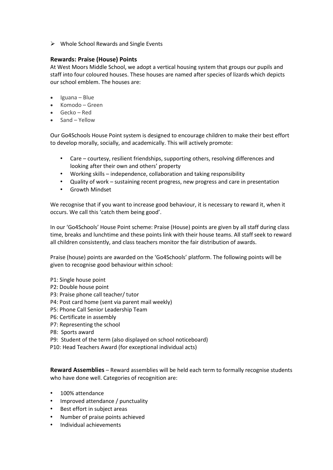$\triangleright$  Whole School Rewards and Single Events

### **Rewards: Praise (House) Points**

At West Moors Middle School, we adopt a vertical housing system that groups our pupils and staff into four coloured houses. These houses are named after species of lizards which depicts our school emblem. The houses are:

- Iguana Blue
- Komodo Green
- Gecko Red
- Sand *–* Yellow

Our Go4Schools House Point system is designed to encourage children to make their best effort to develop morally, socially, and academically. This will actively promote:

- Care courtesy, resilient friendships, supporting others, resolving differences and looking after their own and others' property
- Working skills independence, collaboration and taking responsibility
- Quality of work sustaining recent progress, new progress and care in presentation
- Growth Mindset

We recognise that if you want to increase good behaviour, it is necessary to reward it, when it occurs. We call this 'catch them being good'.

In our 'Go4Schools' House Point scheme: Praise (House) points are given by all staff during class time, breaks and lunchtime and these points link with their house teams. All staff seek to reward all children consistently, and class teachers monitor the fair distribution of awards.

Praise (house) points are awarded on the 'Go4Schools' platform. The following points will be given to recognise good behaviour within school:

- P1: Single house point
- P2: Double house point
- P3: Praise phone call teacher/ tutor
- P4: Post card home (sent via parent mail weekly)
- P5: Phone Call Senior Leadership Team
- P6: Certificate in assembly
- P7: Representing the school
- P8: Sports award
- P9: Student of the term (also displayed on school noticeboard)
- P10: Head Teachers Award (for exceptional individual acts)

**Reward Assemblies** – Reward assemblies will be held each term to formally recognise students who have done well. Categories of recognition are:

- 100% attendance
- Improved attendance / punctuality
- Best effort in subject areas
- Number of praise points achieved
- Individual achievements